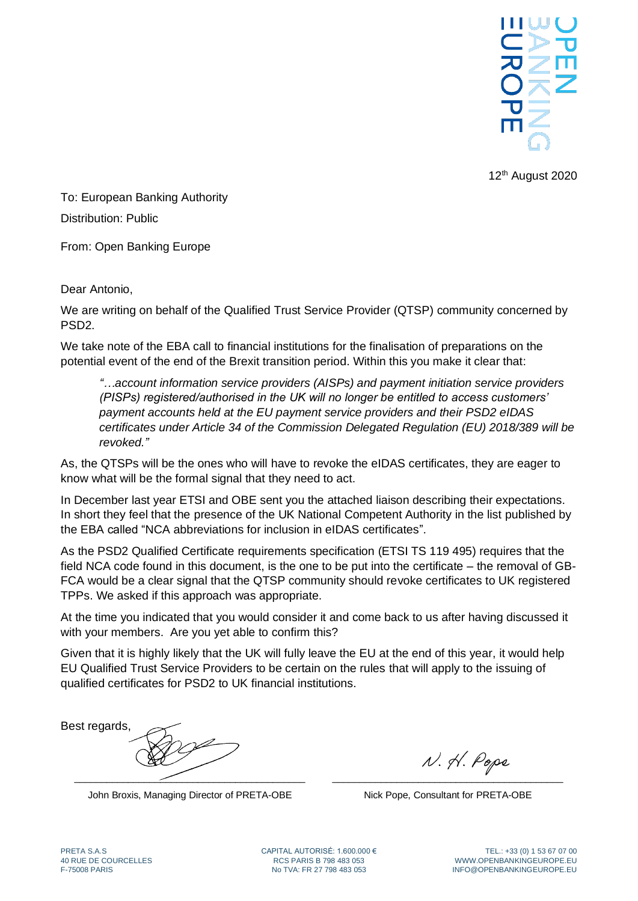

12<sup>th</sup> August 2020

To: European Banking Authority Distribution: Public

From: Open Banking Europe

Dear Antonio,

We are writing on behalf of the Qualified Trust Service Provider (QTSP) community concerned by PSD2.

We take note of the EBA call to financial institutions for the finalisation of preparations on the potential event of the end of the Brexit transition period. Within this you make it clear that:

*"…account information service providers (AISPs) and payment initiation service providers (PISPs) registered/authorised in the UK will no longer be entitled to access customers' payment accounts held at the EU payment service providers and their PSD2 eIDAS certificates under Article 34 of the Commission Delegated Regulation (EU) 2018/389 will be revoked."*

As, the QTSPs will be the ones who will have to revoke the eIDAS certificates, they are eager to know what will be the formal signal that they need to act.

In December last year ETSI and OBE sent you the attached liaison describing their expectations. In short they feel that the presence of the UK National Competent Authority in the list published by the EBA called ["NCA abbreviations for inclusion in eIDAS certificates"](https://eba.europa.eu/sites/default/documents/files/documents/10180/2882455/5dac742c-c39d-47b5-bd73-f8befb0d2338/NCA%20abbreviations%20for%20inclusion%20in%20eIDAS%20certificates.pdf).

As the PSD2 Qualified Certificate requirements specification (ETSI TS 119 495) requires that the field NCA code found in this document, is the one to be put into the certificate – the removal of GB-FCA would be a clear signal that the QTSP community should revoke certificates to UK registered TPPs. We asked if this approach was appropriate.

At the time you indicated that you would consider it and come back to us after having discussed it with your members. Are you yet able to confirm this?

Given that it is highly likely that the UK will fully leave the EU at the end of this year, it would help EU Qualified Trust Service Providers to be certain on the rules that will apply to the issuing of qualified certificates for PSD2 to UK financial institutions.

Best regards,  $\overbrace{\phantom{xxxxx}}$ 

John Broxis, Managing Director of PRETA-OBE

N. H. Pope \_\_\_\_\_\_\_\_\_\_\_\_\_\_\_\_\_\_\_\_\_\_\_\_\_\_\_\_\_\_\_\_\_\_\_\_\_\_\_\_\_\_\_

Nick Pope, Consultant for PRETA-OBE